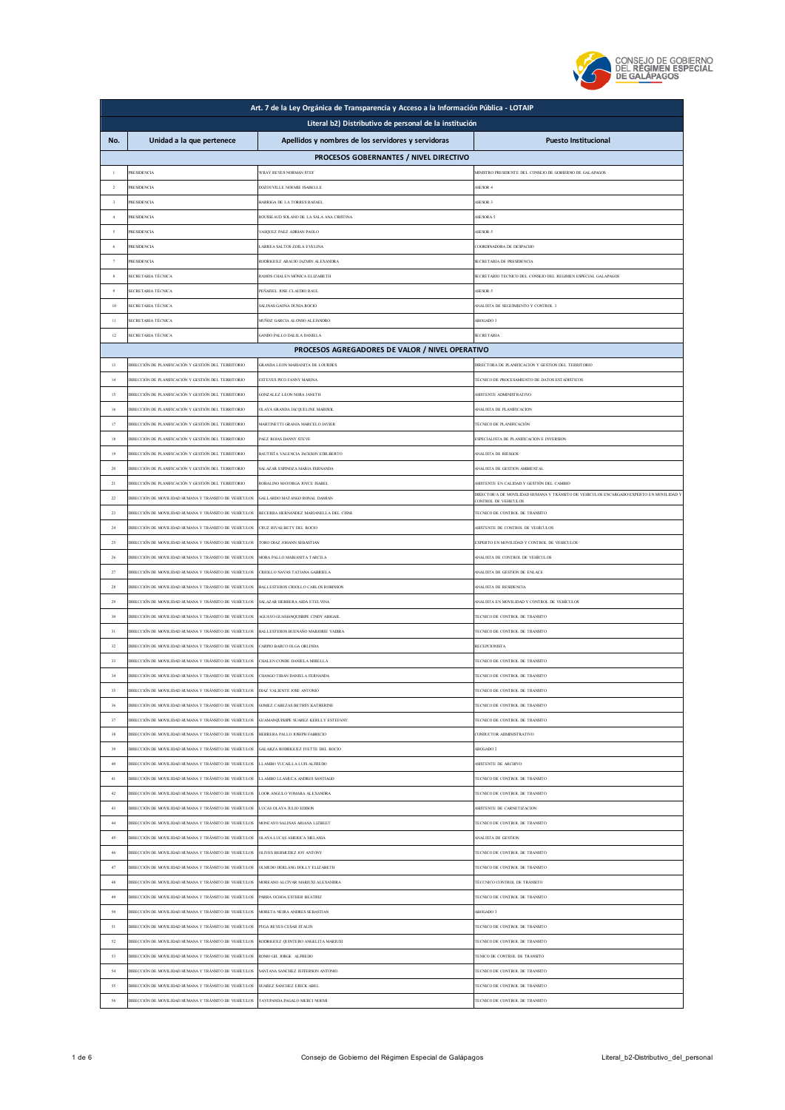

|  |                     |  | CONSEJO DE GOBIERNO |                      |
|--|---------------------|--|---------------------|----------------------|
|  |                     |  |                     | )EL REGIMEN ESPECIAL |
|  | <b>JE GALAPAGOS</b> |  |                     |                      |

| Art. 7 de la Ley Orgánica de Transparencia y Acceso a la Información Pública - LOTAIP |                                                                                     |                                                    |                                                                                         |  |  |
|---------------------------------------------------------------------------------------|-------------------------------------------------------------------------------------|----------------------------------------------------|-----------------------------------------------------------------------------------------|--|--|
|                                                                                       | Literal b2) Distributivo de personal de la institución                              |                                                    |                                                                                         |  |  |
| No.                                                                                   | Unidad a la que pertenece                                                           | Apellidos y nombres de los servidores y servidoras | <b>Puesto Institucional</b>                                                             |  |  |
|                                                                                       |                                                                                     | PROCESOS GOBERNANTES / NIVEL DIRECTIVO             |                                                                                         |  |  |
| $\,$ $\,$                                                                             | <b>PRESIDENCIA</b>                                                                  | WRAY REYES NORMAN STEP                             | MINISTRO PRESIDENTE DEL CONSEJO DE GOBIERNO DE GALAPAGOS                                |  |  |
| $\overline{2}$                                                                        | <b>PRESIDENCIA</b>                                                                  | DOZOUVILLE NOEMIE ISABELLE                         | ASESOR 4                                                                                |  |  |
| $\mathfrak z$                                                                         | RESIDENCIA                                                                          | BARRIGA DE LA TORRES RAFAEL                        | <b>SESOR 3</b>                                                                          |  |  |
| $\overline{4}$                                                                        | <b>PRESIDENCIA</b>                                                                  | ROUSSEAUD SOLANO DE LA SALA ANA CRISTINA           | ASESORA 5                                                                               |  |  |
| $\mathfrak{s}$                                                                        | <b>RESIDENCIA</b>                                                                   | VASQUEZ PAEZ ADRIAN PAOLO                          | ASESOR 5                                                                                |  |  |
| 6                                                                                     | <b>RESIDENCIA</b>                                                                   | ARREA SALTOS ZOILA EVELINA                         | COORDINADORA DE DESPACHO                                                                |  |  |
| $\tau$                                                                                | RESIDENCIA                                                                          | RODRIGUEZ ARAUJO JAZMIN ALEXANDRA                  | SECRETARIA DE PRESIDENCIA                                                               |  |  |
| 8                                                                                     | <b>SECRETARIA TÉCNICA</b>                                                           | RAMOS CHALEN MÓNICA ELIZABETH                      | SECRETARIO TECNICO DEL CONSEJO DEL REGIMEN ESPECIAL GALAPAGOS                           |  |  |
| $\,9$                                                                                 | SECRETARIA TÉCNICA                                                                  | PEÑAFIEL JOSE CLAUDIO RAUL                         | ASESOR 5                                                                                |  |  |
| 10                                                                                    | SECRETARIA TÉCNICA                                                                  | SALINAS GAONA DUNIA ROCIO                          | ANALISTA DE SEGUIMIENTO Y CONTROL 3                                                     |  |  |
| $\mathbf{H}$                                                                          | ECRETARIA TÉCNICA                                                                   | MUÑOZ GARCIA ALONSO ALEJANDRO                      | <b>MBOGADO 3</b>                                                                        |  |  |
| 12                                                                                    | SECRETARIA TÉCNICA                                                                  | GANDO PALLO DALILA DANIELA                         | <b>SECRETARIA</b>                                                                       |  |  |
|                                                                                       |                                                                                     | PROCESOS AGREGADORES DE VALOR / NIVEL OPERATIVO    |                                                                                         |  |  |
| 13                                                                                    | NRECCIÓN DE PLANIFICACIÓN Y GESTIÓN DEL TERRITORIO                                  | <b>GRANDA LEON MARIANITA DE LOURDES</b>            | DIRECTORA DE PLANIFICACION Y GESTION DEL TERRITORIO                                     |  |  |
| 14                                                                                    | DIRECCIÓN DE PLANIFICACIÓN Y GESTIÓN DEL TERRITORIO                                 | ESTEVES PICO FANNY MARINA                          | TÉCNICO DE PROCESAMIENTO DE DATOS ESTADISTICOS                                          |  |  |
| $15\,$                                                                                | DIRECCIÓN DE PLANIFICACIÓN Y GESTIÓN DEL TERRITORIO                                 | GONZALEZ LEON NORA JANETH                          | ASISTENTE ADMINISTRATIVO                                                                |  |  |
| 16                                                                                    | DIRECCIÓN DE PLANIFICACIÓN Y GESTIÓN DEL TERRITORIO                                 | OLAYA GRANDA JACQUELINE MARISOL                    | ANALISTA DE PLANIFICACION                                                               |  |  |
| 17                                                                                    | DIRECCIÓN DE PLANIFICACIÓN Y GESTIÓN DEL TERRITORIO                                 | MARTINETTI GRANJA MARCELO JAVIER                   | TÉCNICO DE PLANIFICACIÓN                                                                |  |  |
| 18                                                                                    | DIRECCIÓN DE PLANIFICACIÓN Y GESTIÓN DEL TERRITORIO                                 | PAEZ ROJAS DANNY STEVE                             | ESPECIALISTA DE PLANIFICACION E INVERSION                                               |  |  |
| 19                                                                                    | DIRECCIÓN DE PLANIFICACIÓN Y GESTIÓN DEL TERRITORIO                                 | BAUTISTA VALENCIA JACKSON EDILBERTO                | ANALISTA DE RIESGOS                                                                     |  |  |
| 20                                                                                    | DIRECCIÓN DE PLANIFICACIÓN Y GESTIÓN DEL TERRITORIO                                 | SALAZAR ESPINOZA MARIA FERNANDA                    | ANALISTA DE GESTION AMBIENTAL                                                           |  |  |
| $21\,$                                                                                | DIRECCIÓN DE PLANIFICACIÓN Y GESTIÓN DEL TERRITORIO                                 | ROBALINO MAYORGA JOYCE ISABEL                      | ASISTENTE EN CALIDAD Y GESTIÓN DEL CAMBIO                                               |  |  |
| 22                                                                                    | DIRECCIÓN DE MOVILIDAD HUMANA Y TRÁNSITO DE VEHÍCULOS                               | GALLARDO MATANGO RONAL DAMIAN                      | DIRECTOR/A DE MOVILIDAD HUMANA Y TRÁNSITO DE VEHICULOS ENCARGADO/EXPERTO EN MOVILIDAD Y |  |  |
| 23                                                                                    | DIRECCIÓN DE MOVILIDAD HUMANA Y TRÁNSITO DE VEHÍCULOS                               | BECERRA HERNANDEZ MARIANELLA DEL CISNE             | CONTROL DE VEHICULOS<br>TECNICO DE CONTROL DE TRANSITO                                  |  |  |
| 24                                                                                    | DIRECCIÓN DE MOVILIDAD HUMANA Y TRÁNSITO DE VEHÍCULOS                               | CRUZ RIVAS BETY DEL ROCIO                          | ASISTENTE DE CONTROL DE VEHÍCULOS                                                       |  |  |
| 25                                                                                    | DIRECCIÓN DE MOVILIDAD HUMANA Y TRÁNSITO DE VEHÍCULOS                               | TORO DIAZ JOHANN SEBASTIAN                         | EXPERTO EN MOVILIDAD Y CONTROL DE VEHICULOS                                             |  |  |
| 26                                                                                    | DIRECCIÓN DE MOVILIDAD HUMANA Y TRÁNSITO DE VEHÍCULOS                               | MORA PALLO MARIANITA TARCILA                       | ANALISTA DE CONTROL DE VEHÍCULOS                                                        |  |  |
| 27                                                                                    | DIRECCIÓN DE MOVILIDAD HUMANA Y TRÁNSITO DE VEHÍCULOS                               | CRIOLLO NAVAS TATIANA GABRIELA                     | ANALISTA DE GESTION DE ENLACE                                                           |  |  |
| 28                                                                                    | DIRECCIÓN DE MOVILIDAD HUMANA Y TRÁNSITO DE VEHÍCULOS                               | BALLESTEROS CRIOLLO CARLOS ROBINSON                | ANALISTA DE RESIDENCIA                                                                  |  |  |
| 29                                                                                    | DIRECCIÓN DE MOVILIDAD HUMANA Y TRÁNSITO DE VEHÍCULOS                               | SALAZAR HERRERA AIDA ETELVINA                      | NALISTA EN MOVILIDAD Y CONTROL DE VEHÍCULOS                                             |  |  |
| 30                                                                                    | DIRECCIÓN DE MOVILIDAD HUMANA Y TRÁNSITO DE VEHÍCULOS                               | AGEIAVO GEIAMANOLISHPE CINDY ARIGAII               | TECNICO DE CONTROL DE TRANSITO                                                          |  |  |
| 31                                                                                    | DIRECCIÓN DE MOVILIDAD HUMANA Y TRÁNSITO DE VEHÍCULOS                               | BALLESTEROS BUENAÑO MARJORIE YADIRA                | TECNICO DE CONTROL DE TRANSITO                                                          |  |  |
| 32                                                                                    | DIRECCIÓN DE MOVILIDAD HUMANA Y TRÁNSITO DE VEHÍCULOS                               | CARPIO BARCO OLGA ORLINDA                          | RECEPCIONISTA                                                                           |  |  |
| 33                                                                                    | DIRECCIÓN DE MOVILIDAD HUMANA Y TRÁNSITO DE VEHÍCULOS                               | CHALEN CONDE DANIELA MIRELLA                       | <b>FECNICO DE CONTROL DE TRANSITO</b>                                                   |  |  |
| 34                                                                                    | DIRECCIÓN DE MOVILIDAD HUMANA Y TRÁNSITO DE VEHÍCULOS                               | CHANGO TIBAN DANIELA FERNANDA                      | TECNICO DE CONTROL DE TRANSITO                                                          |  |  |
| 35                                                                                    | DIRECCIÓN DE MOVILIDAD HUMANA Y TRÁNSITO DE VEHÍCULOS                               | DIAZ VALIENTE JOSE ANTONIO                         | FECNICO DE CONTROL DE TRANSITO                                                          |  |  |
| 36                                                                                    | DIRECCIÓN DE MOVILIDAD HUMANA Y TRÁNSITO DE VEHÍCULOS                               | <b>GOMEZ CABEZAS BETHSY KATHERINE</b>              | TECNICO DE CONTROL DE TRANSITO                                                          |  |  |
| 37                                                                                    | DIRECCIÓN DE MOVILIDAD HUMANA Y TRÁNSITO DE VEHÍCULOS                               | GUAMANQUISHPE SUAREZ KERLLY ESTEFANY               | TECNICO DE CONTROL DE TRANSITO                                                          |  |  |
| 38                                                                                    | DIRECCIÓN DE MOVILIDAD HUMANA Y TRÁNSITO DE VEHÍCULOS                               | HERRERA PALLO JOSEPH FABRICIO                      | CONDUCTOR ADMINISTRATIVO                                                                |  |  |
| 39                                                                                    | DIRECCIÓN DE MOVILIDAD HUMANA Y TRÁNSITO DE VEHÍCULOS                               | <b>GALARZA RODRIGUEZ IVETTE DEL ROCIO</b>          | ABOGADO 2                                                                               |  |  |
| 40                                                                                    | DIRECCIÓN DE MOVILIDAD HUMANA Y TRÁNSITO DE VEHÍCULOS                               | LLAMBO YUCAILLA LUIS ALFREDO                       | ASISTENTE DE ARCHIVO                                                                    |  |  |
| 41                                                                                    | DIRECCIÓN DE MOVILIDAD HUMANA Y TRÁNSITO DE VEHÍCULOS                               | LLAMBO LLAMUCA ANDRES SANTIAGO                     | FECNICO DE CONTROL DE TRANSITO                                                          |  |  |
| 42                                                                                    | DIRECCIÓN DE MOVILIDAD HUMANA Y TRÁNSITO DE VEHÍCULOS LOOR ANGULO YOMARA ALEXANDRA  |                                                    | TECNICO DE CONTROL DE TRANSITO                                                          |  |  |
| 43                                                                                    | DIRECCIÓN DE MOVILIDAD HUMANA Y TRÁNSITO DE VEHÍCULOS LUCAS OLAYA JULIO EDISON      |                                                    | ASISTENTE DE CARNETIZACION                                                              |  |  |
| $44\,$                                                                                | DIRECCIÓN DE MOVILIDAD HUMANA Y TRÁNSITO DE VEHÍCULOS                               | MONCAYO SALINAS ARIANA LIZBEET                     | TECNICO DE CONTROL DE TRANSITO                                                          |  |  |
| $45\,$                                                                                | DIRECCIÓN DE MOVILIDAD HUMANA Y TRÁNSITO DE VEHÍCULOS                               | OLAYA LUCAS AMERICA MELANIA                        | ANALISTA DE GESTION                                                                     |  |  |
| $46\,$                                                                                | DIRECCIÓN DE MOVILIDAD HUMANA Y TRÁNSITO DE VEHÍCULOS                               | OLIVES BERMUDEZ JOY ANTONY                         | TECNICO DE CONTROL DE TRANSITO                                                          |  |  |
| 47                                                                                    | DIRECCIÓN DE MOVILIDAD HUMANA Y TRÁNSITO DE VEHÍCULOS                               | OLMEDO DERLANG DOLLY ELIZABETH                     | TECNICO DE CONTROL DE TRANSITO                                                          |  |  |
| $48\,$                                                                                | DIRECCIÓN DE MOVILIDAD HUMANA Y TRÁNSITO DE VEHÍCULOS                               | MOREANO ALCIVAR MARIUXI ALEXANDRA                  | TÉCCNICO CONTROL DE TRÁNSITO                                                            |  |  |
| 49                                                                                    | DIRECCIÓN DE MOVILIDAD HUMANA Y TRÁNSITO DE VEHÍCULOS                               | PARRA OCHOA ESTHER BEATRIZ                         | TECNICO DE CONTROL DE TRANSITO                                                          |  |  |
| 50                                                                                    | DIRECCIÓN DE MOVILIDAD HUMANA Y TRÁNSITO DE VEHÍCULOS MORETA NEIRA ANDRES SEBASTIAN |                                                    | ABOGADO 3                                                                               |  |  |
| $\mathfrak{sl}$                                                                       | DIRECCIÓN DE MOVILIDAD HUMANA Y TRÁNSITO DE VEHÍCULOS                               | PUGA REYES CESAR STALIN                            | TECNICO DE CONTROL DE TRANSITO                                                          |  |  |
| 52                                                                                    | DIRECCIÓN DE MOVILIDAD HUMANA Y TRÁNSITO DE VEHÍCULOS                               | RODRIGUEZ QUINTERO ANGELITA MARIUXI                | TECNICO DE CONTROL DE TRANSITO                                                          |  |  |
| $^{\rm 53}$                                                                           | DIRECCIÓN DE MOVILIDAD HUMANA Y TRÁNSITO DE VEHÍCULOS                               | ROMO GIL JORGE ALFREDO                             | TENICO DE CONTROL DE TRANSITO                                                           |  |  |
| 54                                                                                    | DIRECCIÓN DE MOVILIDAD HUMANA Y TRÁNSITO DE VEHÍCULOS                               | SANTANA SANCHEZ JEFFERSON ANTONIO                  | TECNICO DE CONTROL DE TRANSITO                                                          |  |  |
| $55\,$                                                                                | DIRECCIÓN DE MOVILIDAD HUMANA Y TRÁNSITO DE VEHÍCULOS                               | SUAREZ SANCHEZ ERICK ABEL                          | TECNICO DE CONTROL DE TRANSITO                                                          |  |  |
| 56                                                                                    | DIRECCIÓN DE MOVILIDAD HUMANA Y TRÁNSITO DE VEHÍCULOS                               | TAYUPANDA PAGALO MERCI NOEMI                       | TECNICO DE CONTROL DE TRANSITO                                                          |  |  |
|                                                                                       |                                                                                     |                                                    |                                                                                         |  |  |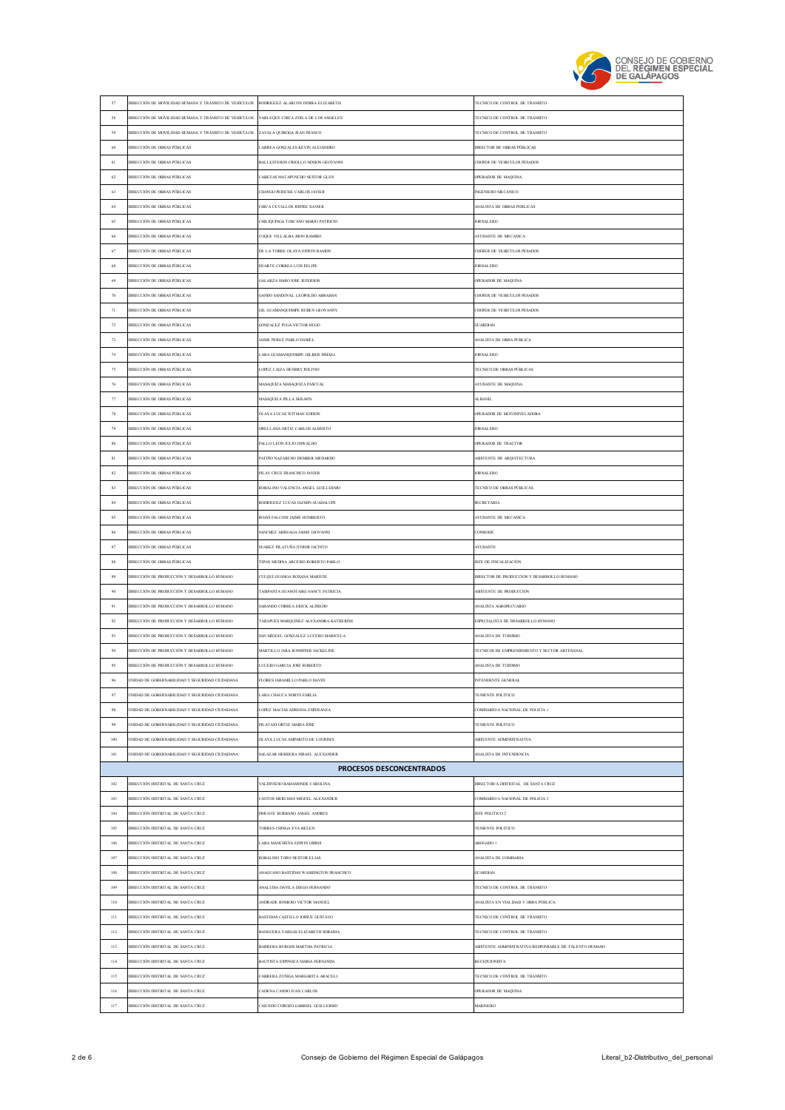

| $\sqrt{57}$ | DIRECCIÓN DE MOVILIDAD HUMANA Y TRÁNSITO DE VEHÍCULOS RODRIGUEZ ALARCON INDIRA ELIZABETH |                                        | TECNICO DE CONTROL DE TRANSITO                         |
|-------------|------------------------------------------------------------------------------------------|----------------------------------------|--------------------------------------------------------|
| 58          | DIRECCIÓN DE MOVILIDAD HUMANA Y TRÁNSITO DE VEHÍCULOS                                    | YARLEQUE CHICA ZOILA DE LOS ANGELES    | TECNICO DE CONTROL DE TRANSITO                         |
| 59          | DIRECCIÓN DE MOVILIDAD HUMANA Y TRÁNSITO DE VEHÍCULOS                                    | ZAVALA QUIROGA JEAN FRANCO             | TECNICO DE CONTROL DE TRANSITO                         |
| 60          | DIRECCIÓN DE OBRAS PÚBLICAS                                                              | LARREA GONZALES KEVIN ALEJANDRO        | DIRECTOR DE OBRAS PÚBLICAS                             |
| 61          | DIRECCIÓN DE OBRAS PÚBLICAS                                                              | BALLESTEROS CRIOLLO NIXSON GEOVANNI    | CHOFER DE VEHICULOS PESADOS                            |
| 62          | DIRECCIÓN DE OBRAS PÚBLICAS                                                              | ABEZAS MATAPUNCHO NESTOR GLEN          | OPERADOR DE MAQUINA                                    |
|             |                                                                                          |                                        |                                                        |
| 63          | DIRECCIÓN DE OBRAS PÚBLICAS                                                              | CHANGO PERICHE CARLOS JAVIER           | NGENIERO MECANICO                                      |
| 64          | DIRECCIÓN DE OBRAS PÚBLICAS                                                              | CHICA CEVALLOS JOFFRE XAVIER           | ANALISTA DE OBRAS PUBLICAS                             |
| 65          | DIRECCIÓN DE OBRAS PÚBLICAS                                                              | CHILIQUINGA TOSCANO MARIO PATRICIO     | <b>JORNAL ERO</b>                                      |
| 66          | DIRECCIÓN DE OBRAS PÚBLICAS                                                              | COOUE VILLALBA JHON RAMIRO             | AYUDANTE DE MECANICA                                   |
| 67          | DIRECCIÓN DE OBRAS PÚBLICAS                                                              | DE LA TORRE OLAYA EDWIN RAMON          | CHOFER DE VEHICULOS PESADOS                            |
| 68          | DIRECCIÓN DE OBRAS PÚBLICAS                                                              | DUARTE CORREA LUIS FELIPE              | <b>JORNAL ERO</b>                                      |
| 69          | DIRECCIÓN DE OBRAS PÚBLICAS                                                              | <b>GALARZA HARO JOSE JEFERSON</b>      | OPERADOR DE MAQUINA                                    |
| $70\,$      | DIRECCIÓN DE OBRAS PÚBLICAS                                                              | GANDO SANDOVAL LEOPOLDO ABRAHAN        | CHOFER DE VEHICULOS PESADOS                            |
|             |                                                                                          |                                        |                                                        |
| 71          | DIRECCIÓN DE OBRAS PÚBLICAS                                                              | GIL GUAMANQUISHPE RUBEN GEOVANNY       | CHOFER DE VEHICULOS PESADOS                            |
| 72          | DIRECCIÓN DE OBRAS PÚBLICAS                                                              | GONZALEZ PUGA VICTOR HUGO              | <b>GUARDIAN</b>                                        |
| 73          | DIRECCIÓN DE OBRAS PÚBLICAS                                                              | JAIME PEREZ PABLO DANIEL               | ANALISTA DE OBRA PUBLICA                               |
| $74\,$      | <b>DIRECCIÓN DE OBRAS PÚBLICAS</b>                                                       | LARA GUAMANQUISHPE GILBER ISMAEL       | <b>ORNALERO</b>                                        |
| 75          | DIRECCIÓN DE OBRAS PÚBLICAS                                                              | LOPEZ CAIZA HENRRY POLIVIO             | <b>TECNICO DE OBRAS PÚBLICAS</b>                       |
| 76          | DIRECCIÓN DE OBRAS PÚBLICAS                                                              | MASAQUIZA MASAQUIZA PASCUAL            | AYUDANTE DE MAQUINA                                    |
| 77          | DIRECCIÓN DE OBRAS PÚBLICAS                                                              | <b>MASAQUIZA PILLA SERAFIN</b>         | AL BANIL                                               |
| $78\,$      | DIRECCIÓN DE OBRAS PÚBLICAS                                                              | OLAYA LUCAS WITMAN EDISON              | OPERADOR DE MOTONIVELADORA                             |
|             |                                                                                          |                                        |                                                        |
| 79          | DIRECCIÓN DE OBRAS PÚBLICAS                                                              | ORELLANA ORTIZ CARLOS ALBERTO          | <b>JORNAL ERO</b>                                      |
| $80\,$      | DIRECCIÓN DE OBRAS PÚBLICAS                                                              | PALLO LEON JULIO OSWALDO               | OPERADOR DE TRACTOR                                    |
| 81          | DIRECCIÓN DE OBRAS PÚBLICAS                                                              | PATIÑO NAZARENO DEMBER MEDARDO         | ASISTENTE DE AROUITECTURA                              |
| 82          | DIRECCIÓN DE OBRAS PÚBLICAS                                                              | PILAY CRUZ FRANCISCO JAVIER            | <b>ORNALERO</b>                                        |
| 83          | DIRECCIÓN DE OBRAS PÚBLICAS                                                              | ROBALINO VALENCIA ANGEL GUILLERMO      | TECNICO DE OBRAS PÚBLICAS                              |
| $\bf 84$    | DIRECCIÓN DE OBRAS PÚBLICAS                                                              | RODRIGUEZ LUCAS JAZMIN GUADALUPE       | <b>SECRETARIA</b>                                      |
| 85          | DIRECCIÓN DE OBRAS PÚBLICAS                                                              | ROJAS FALCONI JAIME HUMBERTO           | AYUDANTE DE MECANICA                                   |
| $86\,$      | DIRECCIÓN DE OBRAS PÚBLICAS                                                              | SANCHEZ ARREAGA JAIME GIOVANNI         | CONSERJE                                               |
| $87\,$      | DIRECCIÓN DE OBRAS PÚBLICAS                                                              | SUAREZ PILATUÑA JUNIOR JACINTO         | <b>AYUDANTE</b>                                        |
|             |                                                                                          |                                        |                                                        |
| $^{\rm 88}$ | DIRECCIÓN DE OBRAS PÚBLICAS                                                              | TIPAN MEDINA ARCESIO ROBERTO PABLO     | JEFE DE FISCALIZACIÓN                                  |
| 89          | DIRECCIÓN DE PRODUCCIÓN Y DESARROLLO HUMANO                                              | CULQUI GUANGA ROXANA MARIUXI           | DIRECTOR DE PRODUCCION Y DESARROLLO HUMANO             |
| 90          | DIRECCIÓN DE PRODUCCIÓN Y DESARROLLO HUMANO                                              | TASIPANTA GUANOTASIG NANCY PATRICIA    | ASISTENTE DE PRODUCCION                                |
| 91          | DIRECCIÓN DE PRODUCCIÓN Y DESARROLLO HUMANO                                              | SABANDO CORREA ERICK ALFREDO           | ANALISTA AGROPECUARIO                                  |
| $\,92$      | DIRECCIÓN DE PRODUCCIÓN Y DESARROLLO HUMANO                                              | TARAPUES MARQUINEZ ALEXANDRA KATHERINE | ESPECIALISTA DE DESARROLLO HUMANO                      |
| 93          | DIRECCIÓN DE PRODUCCIÓN Y DESARROLLO HUMANO                                              | SAN MIGUEL GONZALEZ LUCERO MARICELA    | <b>NALISTA DE TURISMO</b>                              |
| 94          | DIRECCIÓN DE PRODUCCIÓN Y DESARROLLO HUMANO                                              | MARTILLO JARA JENNIFFER JACKELINE      | TECNICOS DE EMPRENDIMIENTO Y SECTOR ARTESANAL          |
| 95          | DIRECCIÓN DE PRODUCCIÓN Y DESARROLLO HUMANO                                              | LUCERO GARCIA JOSE ROBERTO             | ANALISTA DE TURISMO                                    |
| 96          | UNIDAD DE GOBERNABILIDAD Y SEGURIDAD CIUDADANA                                           | FLORES JARAMILLO PABLO DAVID           | INTENDENTE GENERAL                                     |
| 97          | NIDAD DE GOBERNABILIDAD Y SEGURIDAD CIUDADANA                                            | LARA CHAUCA NORYS EMILIA               | <b>FENIENTE POLITICO</b>                               |
|             |                                                                                          |                                        |                                                        |
| 98          | NIDAD DE GORERNARII IDAD Y SEGURIDAD CIUDADANA                                           | LOPEZ MACIAS ADRIANA ESPERANZA         | COMISARIO/A NACIONAL DE POLICIA I                      |
| 99          | NIDAD DE GOBERNABILIDAD Y SEGURIDAD CIUDADANA                                            | PILATAXI ORTIZ MARIA JOSE              | TENIENTE POLITICO                                      |
| 100         | NIDAD DE GORERNARILIDAD Y SEGURIDAD CIUDADANA                                            | OLAYA LUCAS AMPARITO DE LOURDES        | <b>ASISTENTE ADMINISTRATIVA</b>                        |
| 101         | NIDAD DE GOBERNABILIDAD Y SEGURIDAD CIUDADANA                                            | SALAZAR HERRERA ISRAEL ALEXANDER       | <b>NALISTA DE INTENDENCIA</b>                          |
|             |                                                                                          | <b>PROCESOS DESCONCENTRADOS</b>        |                                                        |
| 102         | DIRECCIÓN DISTRITAL DE SANTA CRUZ                                                        | VALDIVIESO BAHAMONDE CAROLINA          | DIRECTOR/A DISTRITAL DE SANTA CRUZ                     |
| 103         | DIRECCIÓN DISTRITAL DE SANTA CRUZ                                                        | CANTOS MERCHAN MIGUEL ALEXANDER        | COMISARIO/A NACIONAL DE POLICIA 2                      |
| 104         | DIRECCIÓN DISTRITAL DE SANTA CRUZ                                                        | PIHUAVE BURBANO ANGEL ANDRES           | EFE POLITICO 2                                         |
| 105         | DIRECCIÓN DISTRITAL DE SANTA CRUZ                                                        | TORRES CHINGA EVA BELEN                | <b>TENIENTE POLITICO</b>                               |
|             |                                                                                          |                                        |                                                        |
| 106         | DIRECCIÓN DISTRITAL DE SANTA CRUZ                                                        | LARA MANCHENA EDWIN OSIRIS             | ABOGADO 1                                              |
| 107         | DIRECCIÓN DISTRITAL DE SANTA CRUZ                                                        | ROBALINO TORO NESTOR ELIAS             | <b>NALISTA DE COMISARIA</b>                            |
| 108         | DIRECCIÓN DISTRITAL DE SANTA CRUZ                                                        | ANAGUANO BASTIDAS WASHINGTON FRANCISCO | <b>JUARDIAN</b>                                        |
| 109         | DIRECCIÓN DISTRITAL DE SANTA CRUZ                                                        | ANALUISA DAVILA DIEGO FERNANDO         | TECNICO DE CONTROL DE TRANSITO                         |
| 110         | DIRECCIÓN DISTRITAL DE SANTA CRUZ                                                        | ANDRADE ROMERO VICTOR MANUEL           | ANALISTA EN VIALIDAD Y OBRA PUBLICA                    |
| 111         | DIRECCIÓN DISTRITAL DE SANTA CRUZ                                                        | BASTIDAS CASTILLO JOSSUE GUSTAVO       | TECNICO DE CONTROL DE TRANSITO                         |
| $112\,$     | DIRECCIÓN DISTRITAL DE SANTA CRUZ                                                        | BANGUERA VARGAS ELIZABETH SORAIDA      | TECNICO DE CONTROL DE TRANSITO                         |
| 113         | DIRECCIÓN DISTRITAL DE SANTA CRUZ                                                        | BARRERA BURGOS MARTHA PATRICIA         | ASISTENTE ADMINISTRATIVA/RESPONSABLE DE TALENTO HUMANO |
|             |                                                                                          |                                        | <b>RECEPCIONISTA</b>                                   |
| 114         | DIRECCIÓN DISTRITAL DE SANTA CRUZ                                                        | BAUTISTA ESPINOZA MARIA FERNANDA       |                                                        |
| 115         | DIRECCIÓN DISTRITAL DE SANTA CRUZ                                                        | ABRERA ZUÑIGA MARGARITA ARACELI        | TECNICO DE CONTROL DE TRANSITO                         |
|             |                                                                                          |                                        |                                                        |
| 116         | DIRECCIÓN DISTRITAL DE SANTA CRUZ                                                        | CADENA CANDO JUAN CARLOS               | <b>OPERADOR DE MAQUINA</b>                             |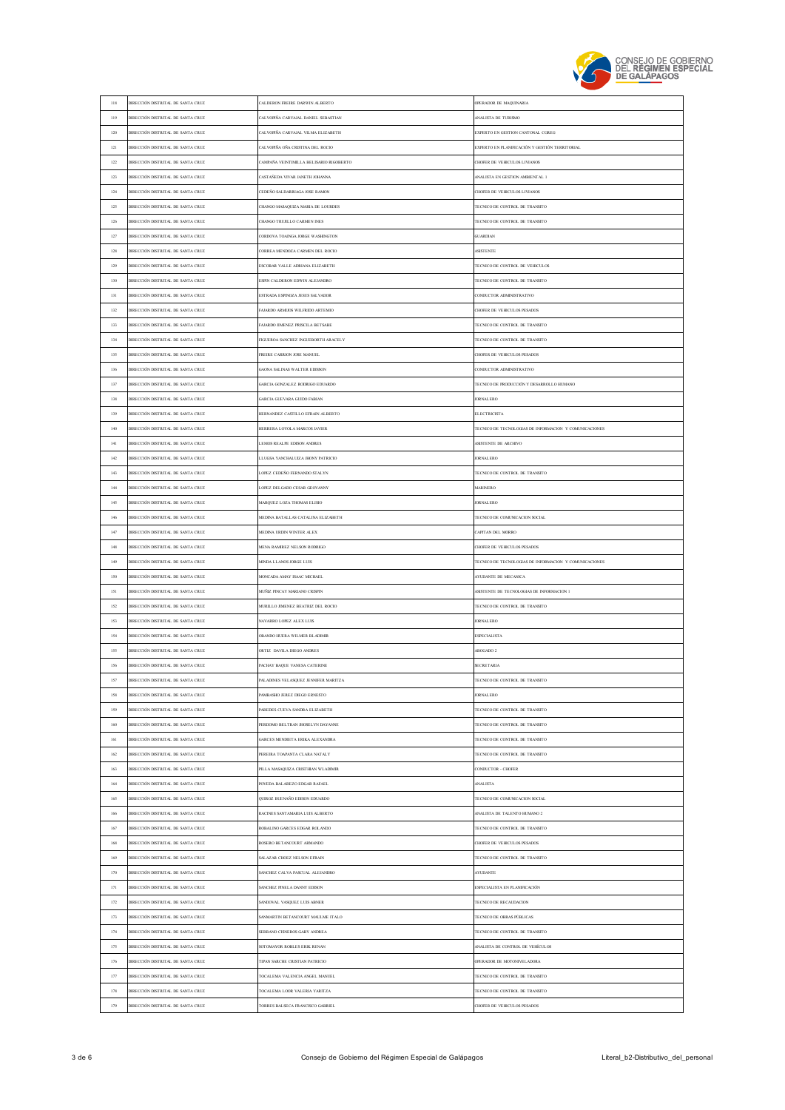

| 118     | DIRECCIÓN DISTRITAL DE SANTA CRUZ | CALDERON FREIRE DARWIN ALBERTO          | OPERADOR DE MAQUINARIA                                 |
|---------|-----------------------------------|-----------------------------------------|--------------------------------------------------------|
| 119     | DIRECCIÓN DISTRITAL DE SANTA CRUZ | CALVOPIÑA CARVAJAL DANIEL SEBASTIAN     | ANALISTA DE TURISMO                                    |
| 120     | DIRECCIÓN DISTRITAL DE SANTA CRUZ | CALVOPIÑA CARVAJAL VILMA ELIZABETH      | EXPERTO EN GESTION CANTONAL CGREG                      |
| 121     | DIRECCIÓN DISTRITAL DE SANTA CRUZ | CALVOPIÑA OÑA CRISTINA DEL ROCIO        | EXPERTO EN PLANIFICACIÓN Y GESTIÓN TERRITORIAL         |
| 122     | DIRECCIÓN DISTRITAL DE SANTA CRUZ | CAMPAÑA VEINTIMILLA BELISARIO RIGOBERTO | CHOFER DE VEHICULOS LIVIANOS                           |
| 123     | DIRECCIÓN DISTRITAL DE SANTA CRUZ | ASTAÑEDA VIVAR JANETH JOHANNA           | <b>NNALISTA EN GESTION AMBIENTAL 1</b>                 |
| 124     | DIRECCIÓN DISTRITAL DE SANTA CRUZ | CEDEÑO SALDARRIAGA JOSE RAMON           | CHOFER DE VEHICULOS LIVIANOS                           |
| 125     | DIRECCIÓN DISTRITAL DE SANTA CRUZ | CHANGO MASAQUIZA MARIA DE LOURDES       | TECNICO DE CONTROL DE TRANSITO                         |
| 126     | DIRECCIÓN DISTRITAL DE SANTA CRUZ | CHANGO TRUJILLO CARMEN INES             | TECNICO DE CONTROL DE TRANSITO                         |
| 127     |                                   |                                         | GUARDIAN                                               |
|         | DIRECCIÓN DISTRITAL DE SANTA CRUZ | CORDOVA TOAINGA JORGE WASHINGTON        |                                                        |
| 128     | DIRECCIÓN DISTRITAL DE SANTA CRUZ | CORREA MENDOZA CARMEN DEL ROCIO         | <b>ASISTENTE</b>                                       |
| 129     | DIRECCIÓN DISTRITAL DE SANTA CRUZ | SCOBAR VALLE ADRIANA ELIZABETH          | TECNICO DE CONTROL DE VEHICULOS                        |
| 130     | DIRECCIÓN DISTRITAL DE SANTA CRUZ | ESPIN CALDERON EDWIN ALEJANDRO          | TECNICO DE CONTROL DE TRANSITO                         |
| 131     | DIRECCIÓN DISTRITAL DE SANTA CRUZ | ESTRADA ESPINOZA JESUS SALVADOR         | CONDUCTOR ADMINISTRATIVO                               |
| 132     | DIRECCIÓN DISTRITAL DE SANTA CRUZ | AJARDO ARMIJOS WILFRIDO ARTEMIO         | CHOFER DE VEHICULOS PESADOS                            |
| 133     | DIRECCIÓN DISTRITAL DE SANTA CRUZ | AJARDO JIMENEZ PRISCILA BETSABE         | TECNICO DE CONTROL DE TRANSITO                         |
| 134     | DIRECCIÓN DISTRITAL DE SANTA CRUZ | FIGUEROA SANCHEZ INGUEBORTH ARACELY     | TECNICO DE CONTROL DE TRANSITO                         |
| 135     | DIRECCIÓN DISTRITAL DE SANTA CRUZ | FREIRE CARRION JOSE MANUEL              | CHOFER DE VEHICULOS PESADOS                            |
| 136     | DIRECCIÓN DISTRITAL DE SANTA CRUZ | GAONA SALINAS WALTER EDISSON            | CONDUCTOR ADMINISTRATIVO                               |
| 137     | DIRECCIÓN DISTRITAL DE SANTA CRUZ | GARCIA GONZALEZ RODRIGO EDUARDO         | TECNICO DE PRODUCCIÓN Y DESARROLLO HUMANO              |
| 138     | DIRECCIÓN DISTRITAL DE SANTA CRUZ | GARCIA GUEVARA GUIDO FABIAN             | <b>JORNAL ERO</b>                                      |
| 139     | DIRECCIÓN DISTRITAL DE SANTA CRUZ | HERNANDEZ CASTILLO EFRAIN ALBERTO       | <b>ELECTRICISTA</b>                                    |
| 140     | DIRECCIÓN DISTRITAL DE SANTA CRUZ | HERRERA LOYOLA MARCOS JAVIER            | TECNICO DE TECNOLOGIAS DE INFORMACION Y COMUNICACIONES |
| 141     | DIRECCIÓN DISTRITAL DE SANTA CRUZ | LEMOS REALPE EDISON ANDRES              | <b>ASISTENTE DE ARCHIVO</b>                            |
| 142     | DIRECCIÓN DISTRITAL DE SANTA CRUZ | LLUGSA YANCHALUIZA JHONY PATRICIO       | <b>JORNAL ERO</b>                                      |
| 143     | DIRECCIÓN DISTRITAL DE SANTA CRUZ | LOPEZ CEDEÑO FERNANDO STALYN            | TECNICO DE CONTROL DE TRANSITO                         |
| 144     | DIRECCIÓN DISTRITAL DE SANTA CRUZ | LOPEZ DELGADO CESAR GEOVANNY            | MARINERO                                               |
| 145     | DIRECCIÓN DISTRITAL DE SANTA CRUZ | MARQUEZ LOZA THOMAS ELISIO              | <b>JORNAL ERO</b>                                      |
|         |                                   |                                         |                                                        |
| 146     | DIRECCIÓN DISTRITAL DE SANTA CRUZ | MEDINA BATALLAS CATALINA ELIZABETH      | TECNICO DE COMUNICACION SOCIAL                         |
| 147     | DIRECCIÓN DISTRITAL DE SANTA CRUZ | MEDINA URDIN WINTER ALEX                | CAPITAN DEL MORRO                                      |
|         |                                   |                                         |                                                        |
| 148     | DIRECCIÓN DISTRITAL DE SANTA CRUZ | MENA RAMIREZ NELSON RODRIGO             | <b>CHOFER DE VEHICULOS PESADOS</b>                     |
| 149     | DIRECCIÓN DISTRITAL DE SANTA CRUZ | MINDA LLANOS JORGE LUIS                 | TECNICO DE TECNOLOGIAS DE INFORMACION Y COMUNICACIONES |
| 150     | DIRECCIÓN DISTRITAL DE SANTA CRUZ | MONCADA AMAY ISAAC MICHAEL              | AYUDANTE DE MECANICA                                   |
| 151     | DIRECCIÓN DISTRITAL DE SANTA CRUZ | MUÑIZ PINCAY MARIANO CRISPIN            | ASISTENTE DE TECNOLOGIAS DE INFORMACION 1              |
| 152     | DIRECCIÓN DISTRITAL DE SANTA CRUZ | MURILLO JIMENEZ BEATRIZ DEL ROCIO       | TECNICO DE CONTROL DE TRANSITO                         |
| 153     | DIRECCIÓN DISTRITAL DE SANTA CRUZ | NAVARRO LOPEZ ALEX LUIS                 | <b>JORNAL ERO</b>                                      |
| 154     | DIRECCIÓN DISTRITAL DE SANTA CRUZ | OBANDO HUERA WILMER BLADIMIR            | <b>ESPECIALISTA</b>                                    |
| 155     | DIRECCIÓN DISTRITAL DE SANTA CRUZ | ORTIZ DAVILA DIEGO ANDRES               | <b>IROGADO 2</b>                                       |
| 156     | DIRECCIÓN DISTRITAL DE SANTA CRUZ | PACHAY BAQUE VANESA CATERINE            | <b>SECRETARIA</b>                                      |
| 157     | DIRECCIÓN DISTRITAL DE SANTA CRUZ | ALADINES VELASOUEZ JENNIFER MARITZA     | FONICO DE CONTROL DE TRANSITO                          |
| 158     | DIRECCIÓN DISTRITAL DE SANTA CRUZ | PAMBASHO JEREZ DIEGO ERNESTO            | <b>ORNALERO</b>                                        |
| 159     | DIRECCIÓN DISTRITAL DE SANTA CRUZ | PAREDES CUEVA SANDRA ELIZABETH          | TECNICO DE CONTROL DE TRANSITO                         |
| $160\,$ | DIRECCIÓN DISTRITAL DE SANTA CRUZ | PERDOMO BELTRAN JHOSELYN DAYANNE        | TECNICO DE CONTROL DE TRANSITO                         |
| 161     | DIRECCIÓN DISTRITAL DE SANTA CRUZ | GARCES MENDIETA ERIKA ALEXANDRA         | TECNICO DE CONTROL DE TRANSITO                         |
| 162     | DIRECCIÓN DISTRITAL DE SANTA CRUZ | PEREIRA TOAPANTA CLARA NATALY           | TECNICO DE CONTROL DE TRANSITO                         |
| 163     | DIRECCIÓN DISTRITAL DE SANTA CRUZ | PILLA MASAQUIZA CRISTHIAN WLADIMIR      | CONDUCTOR - CHOFER                                     |
| $164\,$ | DIRECCIÓN DISTRITAL DE SANTA CRUZ | POVEDA BALAREZO EDGAR RAFAEL            | <b>ANALISTA</b>                                        |
| 165     | DIRECCIÓN DISTRITAL DE SANTA CRUZ | QUIROZ BUENAÑO EDISON EDUARDO           | TECNICO DE COMUNICACION SOCIAL                         |
| 166     |                                   |                                         |                                                        |
|         | DIRECCIÓN DISTRITAL DE SANTA CRUZ | RACINES SANTAMARIA LUIS ALBERTO         | ANALISTA DE TALENTO HUMANO 2                           |
| 167     | DIRECCIÓN DISTRITAL DE SANTA CRUZ | ROBALINO GARCES EDGAR ROLANDO           | TECNICO DE CONTROL DE TRANSITO                         |
| 168     | DIRECCIÓN DISTRITAL DE SANTA CRUZ | ROSERO BETANCOURT ARMANDO               | CHOFER DE VEHICULOS PESADOS                            |
| 169     | DIRECCIÓN DISTRITAL DE SANTA CRUZ | SALAZAR CHOEZ NELSON EFRAIN             | TECNICO DE CONTROL DE TRANSITO                         |
| 170     | DIRECCIÓN DISTRITAL DE SANTA CRUZ | SANCHEZ CALVA PASCUAL ALEJANDRO         | <b>AYUDANTE</b>                                        |
| 171     | DIRECCIÓN DISTRITAL DE SANTA CRUZ | SANCHEZ PINEL A DANNY EDISON            | ESPECIALISTA EN PLANIFICACIÓN                          |
| 172     | DIRECCIÓN DISTRITAL DE SANTA CRUZ | SANDOVAL VASQUEZ LUIS ABNER             | TECNICO DE RECAUDACION                                 |
| 173     | DIRECCIÓN DISTRITAL DE SANTA CRUZ | SANMARTIN BETANCOURT MAULME ITALO       | TECNICO DE OBRAS PÚBLICAS                              |
| 174     | DIRECCIÓN DISTRITAL DE SANTA CRUZ | SERRANO CISNEROS GABY ANDREA            | TECNICO DE CONTROL DE TRANSITO                         |
| 175     | DIRECCIÓN DISTRITAL DE SANTA CRUZ | SOTOMAYOR ROBLES ERIK RENAN             | <b>NALISTA DE CONTROL DE VEHÍCULOS</b>                 |
| 176     | DIRECCIÓN DISTRITAL DE SANTA CRUZ | TIPAN SARCHE CRISTIAN PATRICIO          | OPERADOR DE MOTONIVELADORA                             |
| 177     | DIRECCIÓN DISTRITAL DE SANTA CRUZ | TOCALEMA VALENCIA ANGEL MANUEL          | TECNICO DE CONTROL DE TRANSITO                         |
| 178     | DIRECCIÓN DISTRITAL DE SANTA CRUZ | TOCALEMA LOOR VALERIA YARITZA           | TECNICO DE CONTROL DE TRANSITO                         |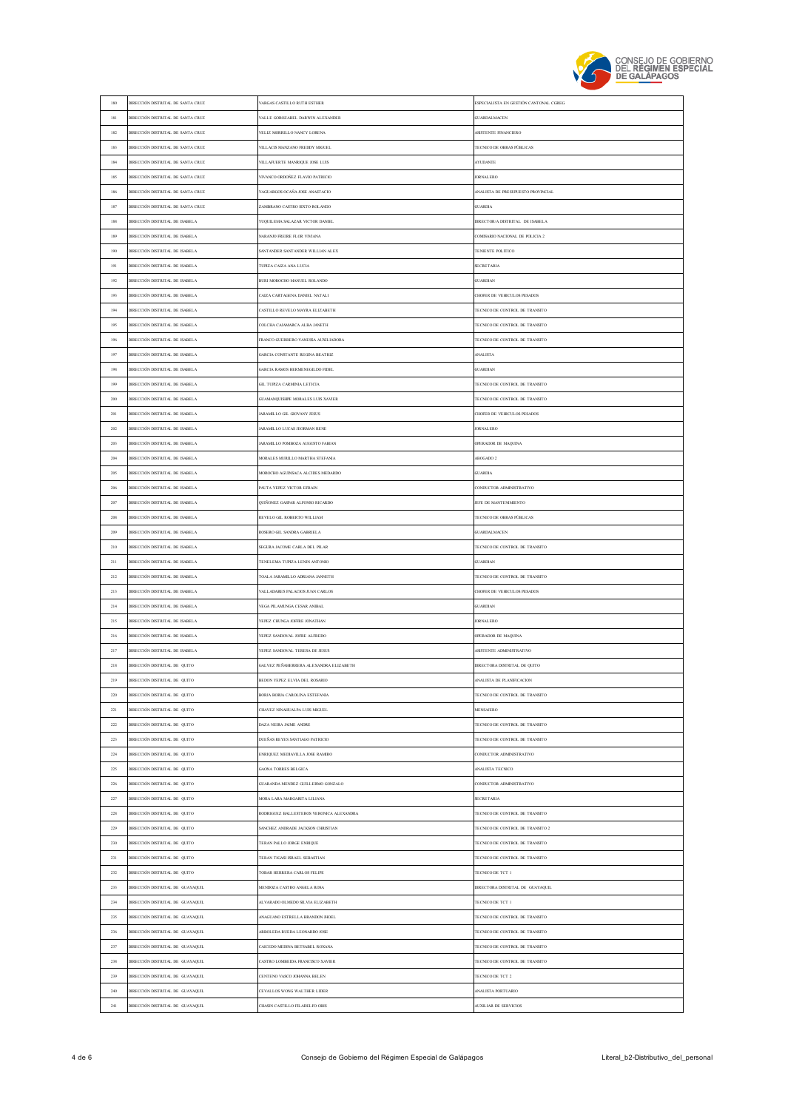

| 180     | DIRECCIÓN DISTRITAL DE SANTA CRUZ     | ARGAS CASTILLO RUTH ESTHER               | ESPECIALISTA EN GESTIÓN CANTONAL CGREG |
|---------|---------------------------------------|------------------------------------------|----------------------------------------|
| 181     | DIRECCIÓN DISTRITAL DE SANTA CRUZ     | ALLE GOROZABEL DARWIN ALEXANDER          | <b>GUARDALMACEN</b>                    |
| 182     | DIRECCIÓN DISTRITAL DE SANTA CRUZ     | VELIZ MORRILLO NANCY LORENA              | ASISTENTE FINANCIERO                   |
| 183     | DIRECCIÓN DISTRITAL DE SANTA CRUZ     | VILLACIS MANZANO FREDDY MIGUEL           | TECNICO DE OBRAS PÚBLICAS              |
| 184     | DIRECCIÓN DISTRITAL DE SANTA CRUZ     | VILLAFUERTE MANRIQUE JOSE LUIS           | <b>AYUDANTE</b>                        |
| 185     | DIRECCIÓN DISTRITAL DE SANTA CRUZ     | VIVANCO ORDOÑEZ FLAVIO PATRICIO          | <b>JORNAL ERO</b>                      |
| 186     | DIRECCIÓN DISTRITAL DE SANTA CRUZ     | YAGUARGOS OCAÑA JOSE ANASTACIO           | ANALISTA DE PRESUPUESTO PROVINCIAL     |
| 187     | DIRECCIÓN DISTRITAL DE SANTA CRUZ     | <b>LAMBRANO CASTRO SIXTO ROLANDO</b>     | <b>GUARDIA</b>                         |
| 188     | DIRECCIÓN DISTRITAL DE ISABELA        | YUOUILEMA SALAZAR VICTOR DANIEL          | DIRECTOR/A DISTRITAL DE ISABELA        |
|         |                                       |                                          |                                        |
| 189     | DIRECCIÓN DISTRITAL DE ISABELA        | <b>ARANJO FREIRE FLOR VIVIANA</b>        | COMISARIO NACIONAL DE POLICIA 2        |
| 190     | DIRECCIÓN DISTRITAL DE ISABELA        | SANTANDER SANTANDER WILLIAN ALEX         | TENIENTE POLITICO                      |
| 191     | DIRECCIÓN DISTRITAL DE ISABELA        | TUPIZA CAIZA ANA LUCIA                   | <b>SECRETARIA</b>                      |
| 192     | <b>JIRECCIÓN DISTRITAL DE ISABELA</b> | BURI MOROCHO MANUEL ROLANDO              | GUARDIAN                               |
| 193     | DIRECCIÓN DISTRITAL DE ISABELA        | AIZA CARTAGENA DANIEL NATALI             | CHOFER DE VEHICULOS PESADOS            |
| 194     | DIRECCIÓN DISTRITAL DE ISABELA        | ASTILLO REVELO MAYRA ELIZABETH           | TECNICO DE CONTROL DE TRANSITO         |
| 195     | DIRECCIÓN DISTRITAL DE ISABELA        | OLCHA CAJAMARCA ALBA JANETH              | TECNICO DE CONTROL DE TRANSITO         |
| 196     | DIRECCIÓN DISTRITAL DE ISABELA        | RANCO GUERRERO VANESSA AUXILIADORA       | TECNICO DE CONTROL DE TRANSITO         |
| 197     | DIRECCIÓN DISTRITAL DE ISABELA        | <b>GARCIA CONSTANTE REGINA BEATRIZ</b>   | <b>ANALISTA</b>                        |
| 198     | DIRECCIÓN DISTRITAL DE ISABELA        | GARCIA RAMOS HERMENEGILDO FIDEL          | <b>GUARDIAN</b>                        |
| 199     | DIRECCIÓN DISTRITAL DE ISABELA        | <b>GIL TUPIZA CARMINIA LETICIA</b>       | TECNICO DE CONTROL DE TRANSITO         |
| 200     | DIRECCIÓN DISTRITAL DE ISABELA        | <b>JUAMANQUISHPE MORALES LUIS XAVIER</b> | TECNICO DE CONTROL DE TRANSITO         |
| 201     | DIRECCIÓN DISTRITAL DE ISABELA        | AR AMILLO GIL GIOVANY JESUS              | CHOFER DE VEHICULOS PESADOS            |
| 202     | DIRECCIÓN DISTRITAL DE ISABELA        | ARAMILLO LUCAS JEORMAN RENE              | <b>JORNAL ERO</b>                      |
| 203     | DIRECCIÓN DISTRITAL DE ISABELA        | ARAMILLO POMBOZA AUGUSTO FABIAN          | OPERADOR DE MAQUINA                    |
| 204     | DIRECCIÓN DISTRITAL DE ISABELA        | <b>MORALES MURILLO MARTHA STEFANIA</b>   | <b>BOGADO 2</b>                        |
| 205     | DIRECCIÓN DISTRITAL DE ISABELA        | MOROCHO AGUINSACA ALCIDES MEDARDO        | <b>GUARDIA</b>                         |
| 206     | DIRECCIÓN DISTRITAL DE ISABELA        | PAUTA YEPEZ VICTOR EFRAIN                | CONDUCTOR ADMINISTRATIVO               |
| 207     | DIRECCIÓN DISTRITAL DE ISABELA        | QUIÑONEZ GASPAR ALFONSO RICARDO          | JEFE DE MANTENIMIENTO                  |
| 208     | DIRECCIÓN DISTRITAL DE ISABELA        | REVELO GIL ROBERTO WILLIAM               | TECNICO DE OBRAS PÚBLICAS              |
| 209     | DIRECCIÓN DISTRITAL DE ISABELA        | ROSERO GIL SANDRA GABRIELA               | <b>GUARDALMACEN</b>                    |
| 210     | DIRECCIÓN DISTRITAL DE ISABELA        | SEGURA JACOME CARLA DEL PILAR            | TECNICO DE CONTROL DE TRANSITO         |
| 211     | DIRECCIÓN DISTRITAL DE ISABELA        | TENELEMA TUPIZA LENIN ANTONIO            | GUARDIAN                               |
|         |                                       |                                          |                                        |
| $212\,$ | DIRECCIÓN DISTRITAL DE ISABELA        | <b>FOALA JARAMILLO ADRIANA JANNETH</b>   | TECNICO DE CONTROL DE TRANSITO         |
| 213     | DIRECCIÓN DISTRITAL DE ISABELA        | VALLADARES PALACIOS JUAN CARLOS          | CHOFER DE VEHICULOS PESADOS            |
| 214     | DIRECCIÓN DISTRITAL DE ISABELA        | VEGA PILAMUNGA CESAR ANIBAL              | <b>GUARDIAN</b>                        |
| 215     | DIRECCIÓN DISTRITAL DE ISABELA        | YEPEZ CHUNGA JOFFRE JONATHAN             | <b>JORNAL ERO</b>                      |
| 216     | DIRECCIÓN DISTRITAL DE ISABELA        | YEPEZ SANDOVAL JOFRE ALFREDO             | OPERADOR DE MAQUINA                    |
| 217     | DIRECCIÓN DISTRITAL DE ISABELA        | YEPEZ SANDOVAL TERESA DE JESUS           | ASISTENTE ADMINISTRATIVO               |
| 218     | DIRECCIÓN DISTRITAL DE QUITO          | GALVEZ PEÑAHERRERA ALEXANDRA ELIZABETH   | DIRECTORA DISTRITAL DE QUITO           |
| 219     | DIRECCION DISTRITAL DE QUITO          | BEDON YEPEZ ELVIA DEL ROSARIO            | ANALISTA DE PLANIFICACION              |
| 220     | DIRECCIÓN DISTRITAL DE QUITO          | <b>SORJA BORJA CAROLINA ESTEFANIA</b>    | TECNICO DE CONTROL DE TRANSITO         |
| 221     | DIRECCIÓN DISTRITAL DE QUITO          | CHAVEZ NINAHUALPA LUIS MIGUEL            | <b>MENSAJERO</b>                       |
| 222     | DIRECCIÓN DISTRITAL DE QUITO          | DAZA NEIRA JAIME ANDRE                   | TECNICO DE CONTROL DE TRANSITO         |
| 223     | DIRECCIÓN DISTRITAL DE QUITO          | DUEÑAS REYES SANTIAGO PATRICIO           | TECNICO DE CONTROL DE TRANSITO         |
| 224     | DIRECCIÓN DISTRITAL DE QUITO          | ENRIOUEZ MEDIAVILLA JOSE RAMIRO          | CONDUCTOR ADMINISTRATIVO               |
| 225     | DIRECCIÓN DISTRITAL DE QUITO          | GAONA TORRES BELGICA                     | ANALISTA TECNICO                       |
| 226     | DIRECCIÓN DISTRITAL DE QUITO          | GUARANDA MENDEZ GUILLERMO GONZALO        | CONDUCTOR ADMINISTRATIVO               |
| 227     | DIRECCIÓN DISTRITAL DE QUITO          | <b>MORA LARA MARGARITA LILIANA</b>       | <b>SECRETARIA</b>                      |
| 228     | DIRECCIÓN DISTRITAL DE QUITO          | RODRIGUEZ BALLESTEROS VERONICA ALEXANDRA | TECNICO DE CONTROL DE TRANSITO         |
| 229     | DIRECCIÓN DISTRITAL DE QUITO          | SANCHEZ ANDRADE JACKSON CHRISTIAN        | TECNICO DE CONTROL DE TRANSITO 2       |
| 230     | DIRECCIÓN DISTRITAL DE QUITO          | TERAN PALLO JORGE ENRIQUE                | TECNICO DE CONTROL DE TRANSITO         |
| 231     | DIRECCIÓN DISTRITAL DE QUITO          | TERAN TIGASI ISRAEL SEBASTIAN            | TECNICO DE CONTROL DE TRANSITO         |
| 232     | DIRECCIÓN DISTRITAL DE QUITO          | <b>TOBAR HERRERA CARLOS FELIPE</b>       | TECNICO DE TCT 1                       |
| 233     | DIRECCIÓN DISTRITAL DE GUAYAQUIL      | MENDOZA CASTRO ANGELA ROSA               | DIRECTORA DISTRITAL DE GUAYAQUIL       |
| 234     | DIRECCIÓN DISTRITAL DE GUAYAQUIL      | AL VARADO OLMEDO SIL VIA ELIZABETH       | TECNICO DE TCT 1                       |
| 235     | DIRECCIÓN DISTRITAL DE GUAYAQUIL      | NAGUANO ESTRELLA BRANDON JHOEL           | TECNICO DE CONTROL DE TRANSITO         |
| 236     | DIRECCIÓN DISTRITAL DE GUAYAQUIL      | ARBOLEDA RUEDA LEONARDO JOSE             | TECNICO DE CONTROL DE TRANSITO         |
| 237     | DIRECCIÓN DISTRITAL DE GUAYAQUIL      | CAICEDO MEDINA BETSABEL ROXANA           | TECNICO DE CONTROL DE TRANSITO         |
| 238     | DIRECCIÓN DISTRITAL DE GUAYAQUIL      | <b>ASTRO LOMBEIDA FRANCISCO XAVIER</b>   | TECNICO DE CONTROL DE TRANSITO         |
| 239     | DIRECCIÓN DISTRITAL DE GUAYAQUIL      | CENTENO VASCO JOHANNA BELEN              | TECNICO DE TCT 2                       |
| 240     | DIRECCIÓN DISTRITAL DE GUAYAQUIL      | CEVALLOS WONG WALTHER LIDER              | ANALISTA PORTUARIO                     |
| $241\,$ | DIRECCIÓN DISTRITAL DE GUAYAQUIL      | HASIN CASTILLO FILADELFO OBIS            | AUXILIAR DE SERVICIOS                  |
|         |                                       |                                          |                                        |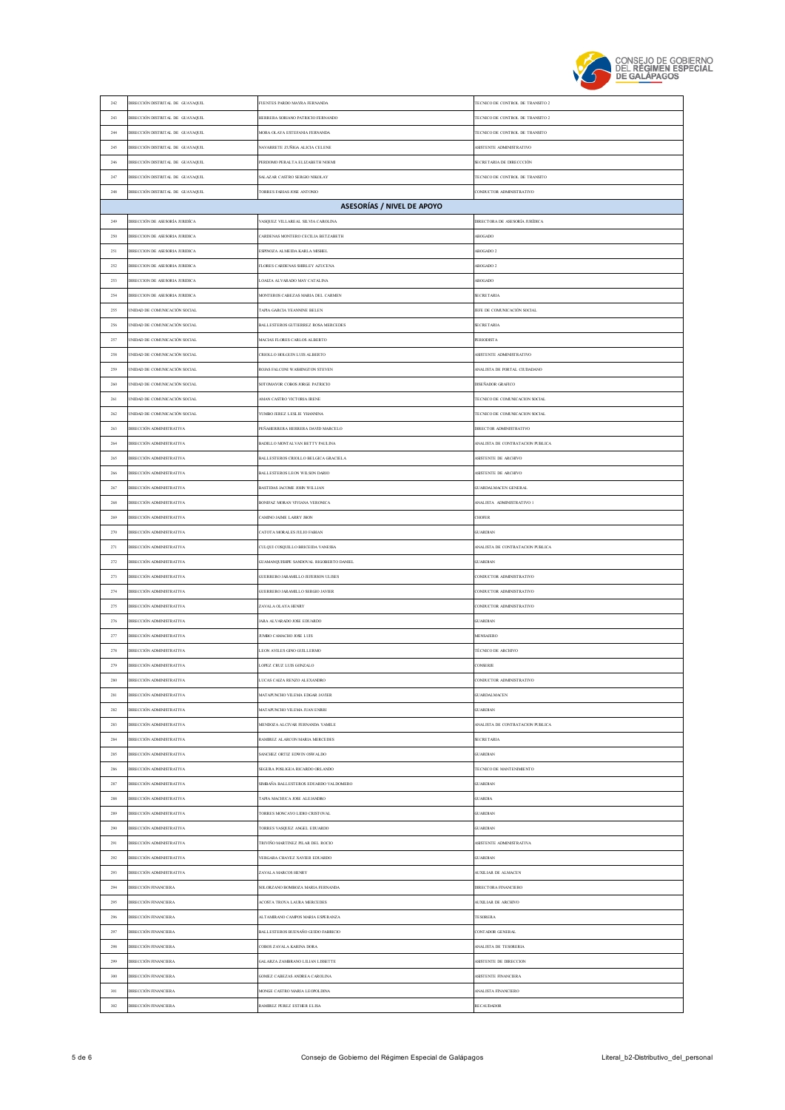

| $242\,$        | DIRECCIÓN DISTRITAL DE GUAYAQUIL                            | FUENTES PARDO MAYRA FERNANDA                                                   | TECNICO DE CONTROL DE TRANSITO 2                             |
|----------------|-------------------------------------------------------------|--------------------------------------------------------------------------------|--------------------------------------------------------------|
| 243            | DIRECCIÓN DISTRITAL DE GUAYAQUIL                            | HERRERA SORIANO PATRICIO FERNANDO                                              | TECNICO DE CONTROL DE TRANSITO 2                             |
| $\,244$        | DIRECCIÓN DISTRITAL DE GUAYAQUIL                            | MORA OLAYA ESTEFANIA FERNANDA                                                  | TECNICO DE CONTROL DE TRANSITO                               |
| 245            | DIRECCIÓN DISTRITAL DE GUAYAQUIL                            | VAVARRETE ZUÑIGA ALICIA CELENE                                                 | ASISTENTE ADMINISTRATIVO                                     |
| 246            | DIRECCIÓN DISTRITAL DE GUAYAQUIL                            | PERDOMO PERALTA ELIZABETH NOEMI                                                | SECRETARIA DE DIRECCCIÓN                                     |
| 247            | DIRECCIÓN DISTRITAL DE GUAYAQUIL                            | SALAZAR CASTRO SERGIO NIKOLAY                                                  | TECNICO DE CONTROL DE TRANSITO                               |
| 248            | DIRECCIÓN DISTRITAL DE GUAYAQUIL                            | FORRES FARIAS JOSE ANTONIO                                                     | CONDUCTOR ADMINISTRATIVO                                     |
|                |                                                             | ASESORÍAS / NIVEL DE APOYO                                                     |                                                              |
| 249            | DIRECCIÓN DE ASESORÍA JURIDÍCA                              | ASQUEZ VILLAREAL SILVIA CAROLINA                                               | DIRECTORA DE ASESORÍA JURÍDICA                               |
| 250            | DIRECCION DE ASESORIA JURIDICA                              | CARDENAS MONTERO CECILIA BETZABETH                                             | <b>ABOGADO</b>                                               |
| 251            | DIRECCION DE ASESORIA JURIDICA                              | ESPINOZA ALMEIDA KARLA MISHEL                                                  | ABOGADO 2                                                    |
| 252            | DIRECCION DE ASESORIA JURIDICA                              | LORES CARDENAS SHIRLEY AZUCENA                                                 | ABOGADO 2                                                    |
| 253            | DIRECCION DE ASESORIA JURIDICA                              | OAIZA ALVARADO MAY CATALINA                                                    | <b>ABOGADO</b>                                               |
| 254            | DIRECCION DE ASESORIA JURIDICA                              | MONTEROS CABEZAS MARIA DEL CARMEN                                              | <b>SECRETARIA</b>                                            |
| 255            | NIDAD DE COMUNICACIÓN SOCIAL                                | <b>TAPIA GARCIA YEANNINE BELEN</b>                                             | JEFE DE COMUNICACIÓN SOCIAL                                  |
| 256            | NIDAD DE COMUNICACIÓN SOCIAL                                | ALLESTEROS GUTIERREZ ROSA MERCEDES                                             | <b>SECRETARIA</b>                                            |
| 257            | NIDAD DE COMUNICACIÓN SOCIAL                                | MACIAS FLORES CARLOS ALBERTO                                                   | <b>PERIODISTA</b>                                            |
| 258            | UNIDAD DE COMUNICACIÓN SOCIAL                               | CRIOLLO HOLGUIN LUIS ALBERTO                                                   | ASISTENTE ADMINISTRATIVO                                     |
| 259            | NIDAD DE COMUNICACIÓN SOCIAL                                | ROJAS FALCONI WASHINGTON STEVEN                                                | ANALISTA DE PORTAL CIUDADANO                                 |
| 260            | NIDAD DE COMUNICACIÓN SOCIAL                                | <b>SOTOMAYOR COBOS JORGE PATRICIO</b>                                          | DISEÑADOR GRAFICO                                            |
| 261            | NIDAD DE COMUNICACIÓN SOCIAL                                | MAN CASTRO VICTORIA IRENE                                                      | TECNICO DE COMENICACION SOCIAL                               |
| 262            | NIDAD DE COMUNICACIÓN SOCIAL                                | YUMBO JEREZ LESLIE YHANNINA                                                    | TECNICO DE COMUNICACION SOCIAL                               |
|                |                                                             | PEÑAHERRERA HERRERA DAVID MARCELO                                              |                                                              |
| 263            | DIRECCIÓN ADMINISTRATIVA                                    |                                                                                | DIRECTOR ADMINISTRATIVO                                      |
| 264            | DIRECCIÓN ADMINISTRATIVA                                    | BADILLO MONTALVAN BETTY PAULINA                                                | ANALISTA DE CONTRATACION PUBLICA                             |
| 265            | DIRECCIÓN ADMINISTRATIVA                                    | BALLESTEROS CRIOLLO BELGICA GRACIELA                                           | ASISTENTE DE ARCHIVO                                         |
| 266            | DIRECCIÓN ADMINISTRATIVA                                    | BALLESTEROS LEON WILSON DARIO                                                  | ASISTENTE DE ARCHIVO                                         |
| 267            | DIRECCIÓN ADMINISTRATIVA                                    | BASTIDAS JACOME JOHN WILLIAN                                                   | <b>GUARDALMACEN GENERAL</b>                                  |
| $268\,$<br>269 | DIRECCIÓN ADMINISTRATIVA<br>DIRECCIÓN ADMINISTRATIVA        | BONIFAZ MORAN VIVIANA VERONICA<br>CAMINO JAIME LARRY JHON                      | ANALISTA ADMINISTRATIVO I<br>CHOFER                          |
|                |                                                             |                                                                                | <b>GUARDIAN</b>                                              |
| 270<br>271     | DIRECCIÓN ADMINISTRATIVA<br>DIRECCIÓN ADMINISTRATIVA        | <b>CATOTA MORALES JULIO FABIAN</b><br><b>TLLQUI COSQUILLO BRICEIDA VANESSA</b> | ANALISTA DE CONTRATACIÓN PUBLICA                             |
|                |                                                             |                                                                                |                                                              |
|                |                                                             |                                                                                |                                                              |
| $272\,$        | DIRECCIÓN ADMINISTRATIVA                                    | GUAMANQUISHPE SANDOVAL RIGOBERTO DANIEL                                        | <b>GUARDIAN</b>                                              |
| 273            | DIRECCIÓN ADMINISTRATIVA                                    | GUERRERO JARAMILLO JEFERSON ULISES                                             | CONDUCTOR ADMINISTRATIVO                                     |
| $274\,$        | DIRECCIÓN ADMINISTRATIVA                                    | GUERRERO JARAMILLO SERGIO JAVIER                                               | CONDUCTOR ADMINISTRATIVO                                     |
| 275            | DIRECCIÓN ADMINISTRATIVA                                    | <b>ZAVALA OLAYA HENRY</b>                                                      | CONDUCTOR ADMINISTRATIVO                                     |
| 276            | DIRECCIÓN ADMINISTRATIVA                                    | ARA ALVARADO JOSE EDUARDO                                                      | <b>GUARDIAN</b>                                              |
| 277            | DIRECCIÓN ADMINISTRATIVA                                    | <b>UMBO CAMACHO JOSE LUIS</b>                                                  | <b>MENSAJERO</b>                                             |
| 278            | DIRECCIÓN ADMINISTRATIVA                                    | LEON AVILES GINO GUILLERMO                                                     | TÉCNICO DE ARCHIVO                                           |
| 279            | DIRECCIÓN ADMINISTRATIVA                                    | OPEZ CRUZ LUIS GONZALO                                                         | CONSERJE                                                     |
|                |                                                             |                                                                                | TOP A DMINISTRATIVE                                          |
| 281            | DIRECCIÓN ADMINISTRATIVA                                    | MATAPUNCHO VILEMA EDGAR JAVIER                                                 | <b>GUARDALMACEN</b>                                          |
| 282            | DIRECCIÓN ADMINISTRATIVA                                    | MATAPUNCHO VILEMA JUAN ENRRI                                                   | <b>GUARDIAN</b>                                              |
| 283<br>284     | <b>JIRECCIÓN ADMINISTRATIVA</b><br>DIRECCIÓN ADMINISTRATIVA | MENDOZA ALCIVAR FERNANDA YAMILE<br>RAMIREZ ALARCON MARIA MERCEDES              | <b>NNALISTA DE CONTRATACION PUBLICA</b><br><b>SECRETARIA</b> |
|                |                                                             |                                                                                |                                                              |
| 285            | DIRECCIÓN ADMINISTRATIVA                                    | SANCHEZ ORTIZ EDWIN OSWALDO                                                    | <b>GUARDIAN</b>                                              |
| 286            | DIRECCIÓN ADMINISTRATIVA                                    | SEGURA POSLIGUA RICARDO ORLANDO                                                | TECNICO DE MANTENIMIENTO                                     |
| $287\,$        | DIRECCIÓN ADMINISTRATIVA                                    | <b>SMBAÑA BALLESTEROS EDUARDO VALDOMERO</b>                                    | GUARDIAN                                                     |
| 288            | DIRECCIÓN ADMINISTRATIVA                                    | <b>TAPIA MACHUCA JOSE ALEJANDRO</b>                                            | <b>GUARDIA</b>                                               |
| 289            | DIRECCIÓN ADMINISTRATIVA                                    | TORRES MONCAYO LIDIO CRISTOVAL                                                 | <b>GUARDIAN</b>                                              |
| 290            | DIRECCIÓN ADMINISTRATIVA                                    | TORRES VASQUEZ ANGEL EDUARDO                                                   | <b>GUARDIAN</b>                                              |
| 291            | <b>JIRECCIÓN ADMINISTRATIVA</b>                             | TRIVIÑO MARTINEZ PILAR DEL ROCIO                                               | ASISTENTE ADMINISTRATIVA                                     |
| 292            | DIRECCIÓN ADMINISTRATIVA                                    | VERGARA CHAVEZ XAVIER EDUARDO                                                  | GUARDIAN                                                     |
| 293<br>294     | DIRECCIÓN ADMINISTRATIVA                                    | ZAVALA MARCOS HENRY                                                            | AUXILIAR DE ALMACEN                                          |
|                | DIRECCIÓN FINANCIERA                                        | SOLORZANO BOMBOZA MARIA FERNANDA                                               | DIRECTORA FINANCIERO                                         |
| 295<br>296     | DIRECCIÓN FINANCIERA                                        | ACOSTA TROYA LAURA MERCEDES<br>ALTAMIRANO CAMPOS MARIA ESPERANZA               | AUXILIAR DE ARCHIVO<br>TESORERA                              |
|                | DIRECCIÓN FINANCIERA                                        |                                                                                |                                                              |
| $297\,$<br>298 | DIRECCIÓN FINANCIERA                                        | BALLESTEROS BUENAÑO GUIDO FABRICIO                                             | CONTADOR GENERAL                                             |
|                | DIRECCIÓN FINANCIERA                                        | <b>OBOS ZAVALA KARINA DORA</b>                                                 | ANALISTA DE TESORERIA                                        |
| 299<br>300     | DIRECCIÓN FINANCIERA                                        | GALARZA ZAMBRANO LILIAN LISSETTE                                               | ASISTENTE DE DIRECCION                                       |
|                | DIRECCIÓN FINANCIERA                                        | GOMEZ CABEZAS ANDREA CAROLINA<br>MONGE CASTRO MARIA LEOPOLDINA                 | ASISTENTE FINANCIERA                                         |
| $301\,$<br>302 | DIRECCIÓN FINANCIERA<br>DIRECCIÓN FINANCIERA                | AMIREZ PEREZ ESTHER ELISA                                                      | ANALISTA FINANCIERO<br>RECAUDADOR                            |